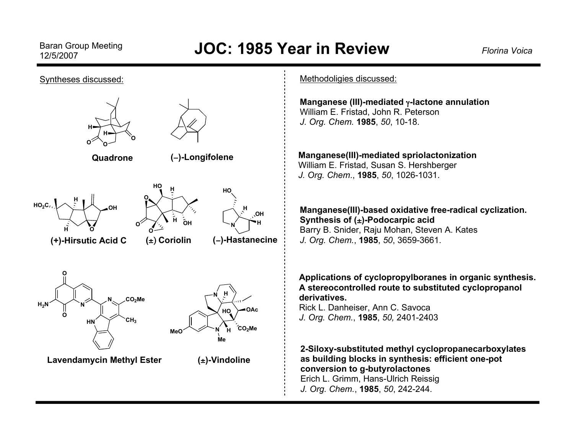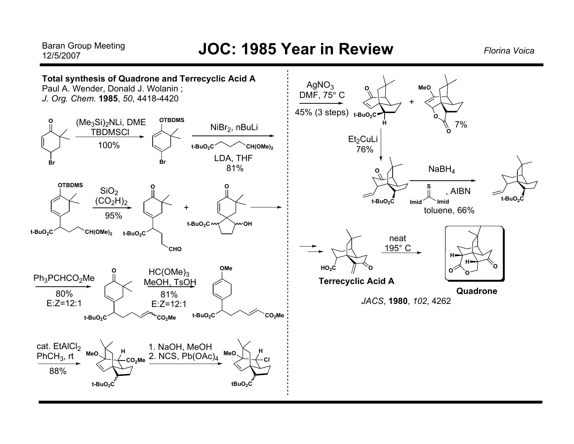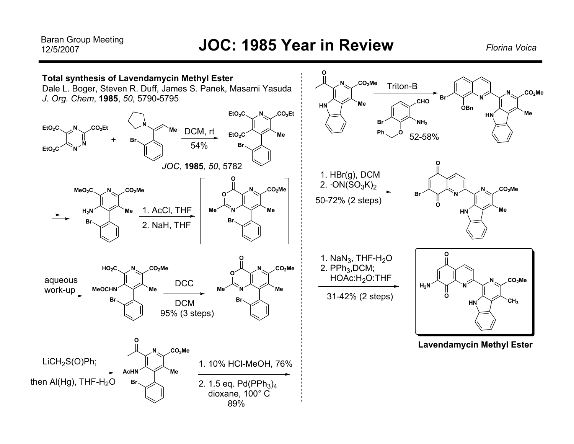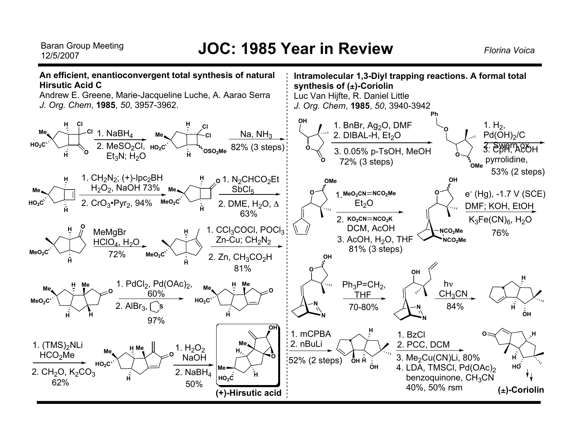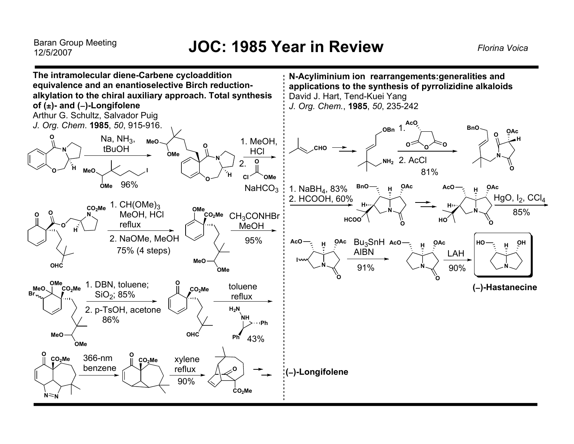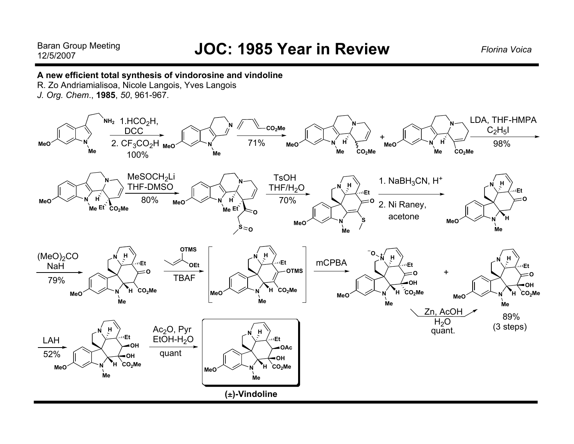#### **A new efficient total synthesis of vindorosine and vindoline**

R. Zo Andriamialisoa, Nicole Langois, Yves Langois

*J. Org. Chem*., **1985**, *50*, 961-967.

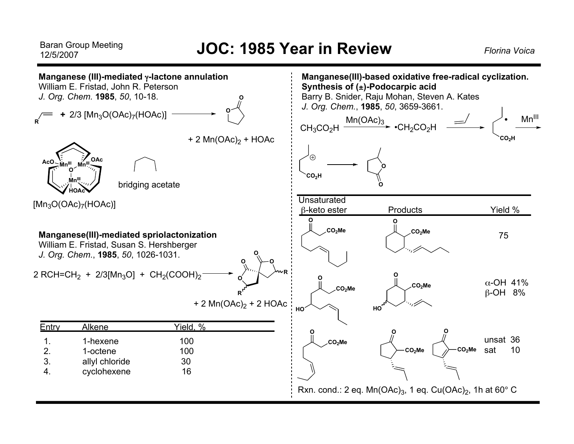